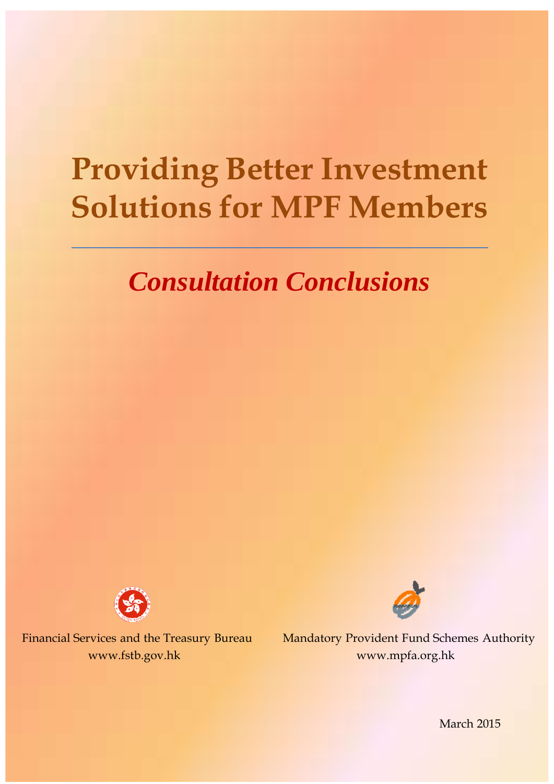# **Providing Better Investment Solutions for MPF Members**

## *Consultation Conclusions*





Financial Services and the Treasury Bureau Mandatory Provident Fund Schemes Authority www.fstb.gov.hk www.mpfa.org.hk

March 2015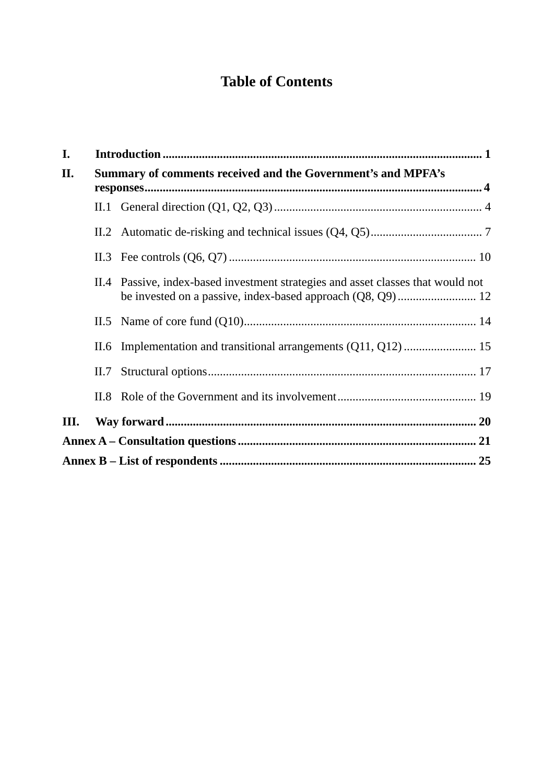## **Table of Contents**

| I. | Summary of comments received and the Government's and MPFA's |                                                                                  |  |  |
|----|--------------------------------------------------------------|----------------------------------------------------------------------------------|--|--|
| П. |                                                              |                                                                                  |  |  |
|    |                                                              |                                                                                  |  |  |
|    |                                                              |                                                                                  |  |  |
|    |                                                              |                                                                                  |  |  |
|    |                                                              | II.4 Passive, index-based investment strategies and asset classes that would not |  |  |
|    |                                                              |                                                                                  |  |  |
|    |                                                              |                                                                                  |  |  |
|    | II.7                                                         |                                                                                  |  |  |
|    |                                                              |                                                                                  |  |  |
| Ш. |                                                              |                                                                                  |  |  |
|    |                                                              |                                                                                  |  |  |
|    |                                                              |                                                                                  |  |  |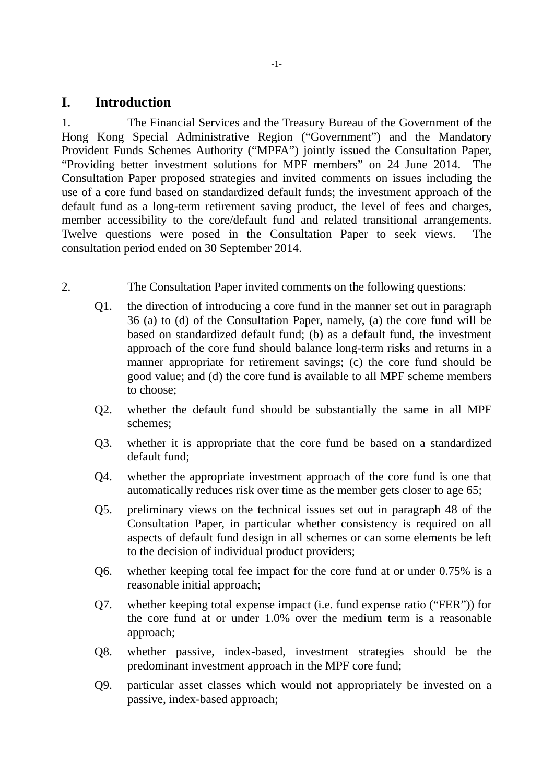#### **I. Introduction**

1. The Financial Services and the Treasury Bureau of the Government of the Hong Kong Special Administrative Region ("Government") and the Mandatory Provident Funds Schemes Authority ("MPFA") jointly issued the Consultation Paper, "Providing better investment solutions for MPF members" on 24 June 2014. The Consultation Paper proposed strategies and invited comments on issues including the use of a core fund based on standardized default funds; the investment approach of the default fund as a long-term retirement saving product, the level of fees and charges, member accessibility to the core/default fund and related transitional arrangements. Twelve questions were posed in the Consultation Paper to seek views. The consultation period ended on 30 September 2014.

- 2. The Consultation Paper invited comments on the following questions:
	- Q1. the direction of introducing a core fund in the manner set out in paragraph 36 (a) to (d) of the Consultation Paper, namely, (a) the core fund will be based on standardized default fund; (b) as a default fund, the investment approach of the core fund should balance long-term risks and returns in a manner appropriate for retirement savings; (c) the core fund should be good value; and (d) the core fund is available to all MPF scheme members to choose;
	- Q2. whether the default fund should be substantially the same in all MPF schemes;
	- Q3. whether it is appropriate that the core fund be based on a standardized default fund;
	- Q4. whether the appropriate investment approach of the core fund is one that automatically reduces risk over time as the member gets closer to age 65;
	- Q5. preliminary views on the technical issues set out in paragraph 48 of the Consultation Paper, in particular whether consistency is required on all aspects of default fund design in all schemes or can some elements be left to the decision of individual product providers;
	- Q6. whether keeping total fee impact for the core fund at or under 0.75% is a reasonable initial approach;
	- Q7. whether keeping total expense impact (i.e. fund expense ratio ("FER")) for the core fund at or under 1.0% over the medium term is a reasonable approach;
	- Q8. whether passive, index-based, investment strategies should be the predominant investment approach in the MPF core fund;
	- Q9. particular asset classes which would not appropriately be invested on a passive, index-based approach;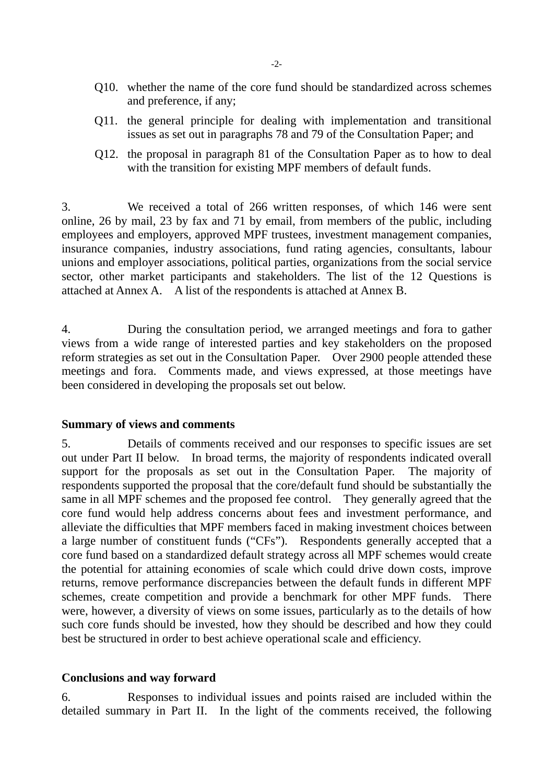- Q10. whether the name of the core fund should be standardized across schemes and preference, if any;
- Q11. the general principle for dealing with implementation and transitional issues as set out in paragraphs 78 and 79 of the Consultation Paper; and
- Q12. the proposal in paragraph 81 of the Consultation Paper as to how to deal with the transition for existing MPF members of default funds.

3. We received a total of 266 written responses, of which 146 were sent online, 26 by mail, 23 by fax and 71 by email, from members of the public, including employees and employers, approved MPF trustees, investment management companies, insurance companies, industry associations, fund rating agencies, consultants, labour unions and employer associations, political parties, organizations from the social service sector, other market participants and stakeholders. The list of the 12 Questions is attached at Annex A. A list of the respondents is attached at Annex B.

4. During the consultation period, we arranged meetings and fora to gather views from a wide range of interested parties and key stakeholders on the proposed reform strategies as set out in the Consultation Paper. Over 2900 people attended these meetings and fora. Comments made, and views expressed, at those meetings have been considered in developing the proposals set out below.

#### **Summary of views and comments**

5. Details of comments received and our responses to specific issues are set out under Part II below. In broad terms, the majority of respondents indicated overall support for the proposals as set out in the Consultation Paper. The majority of respondents supported the proposal that the core/default fund should be substantially the same in all MPF schemes and the proposed fee control. They generally agreed that the core fund would help address concerns about fees and investment performance, and alleviate the difficulties that MPF members faced in making investment choices between a large number of constituent funds ("CFs"). Respondents generally accepted that a core fund based on a standardized default strategy across all MPF schemes would create the potential for attaining economies of scale which could drive down costs, improve returns, remove performance discrepancies between the default funds in different MPF schemes, create competition and provide a benchmark for other MPF funds. There were, however, a diversity of views on some issues, particularly as to the details of how such core funds should be invested, how they should be described and how they could best be structured in order to best achieve operational scale and efficiency.

#### **Conclusions and way forward**

6. Responses to individual issues and points raised are included within the detailed summary in Part II. In the light of the comments received, the following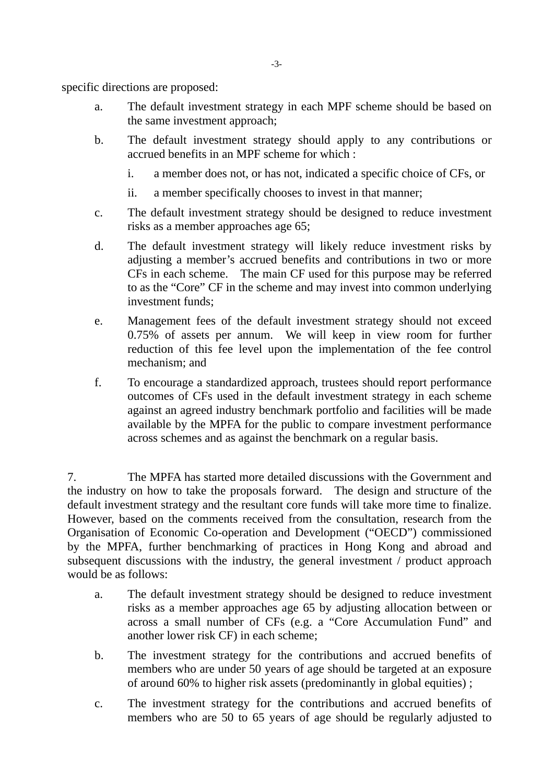specific directions are proposed:

- a. The default investment strategy in each MPF scheme should be based on the same investment approach;
- b. The default investment strategy should apply to any contributions or accrued benefits in an MPF scheme for which :
	- i. a member does not, or has not, indicated a specific choice of CFs, or
	- ii. a member specifically chooses to invest in that manner;
- c. The default investment strategy should be designed to reduce investment risks as a member approaches age 65;
- d. The default investment strategy will likely reduce investment risks by adjusting a member's accrued benefits and contributions in two or more CFs in each scheme. The main CF used for this purpose may be referred to as the "Core" CF in the scheme and may invest into common underlying investment funds;
- e. Management fees of the default investment strategy should not exceed 0.75% of assets per annum. We will keep in view room for further reduction of this fee level upon the implementation of the fee control mechanism; and
- f. To encourage a standardized approach, trustees should report performance outcomes of CFs used in the default investment strategy in each scheme against an agreed industry benchmark portfolio and facilities will be made available by the MPFA for the public to compare investment performance across schemes and as against the benchmark on a regular basis.

7. The MPFA has started more detailed discussions with the Government and the industry on how to take the proposals forward. The design and structure of the default investment strategy and the resultant core funds will take more time to finalize. However, based on the comments received from the consultation, research from the Organisation of Economic Co-operation and Development ("OECD") commissioned by the MPFA, further benchmarking of practices in Hong Kong and abroad and subsequent discussions with the industry, the general investment / product approach would be as follows:

- a. The default investment strategy should be designed to reduce investment risks as a member approaches age 65 by adjusting allocation between or across a small number of CFs (e.g. a "Core Accumulation Fund" and another lower risk CF) in each scheme;
- b. The investment strategy for the contributions and accrued benefits of members who are under 50 years of age should be targeted at an exposure of around 60% to higher risk assets (predominantly in global equities) ;
- c. The investment strategy for the contributions and accrued benefits of members who are 50 to 65 years of age should be regularly adjusted to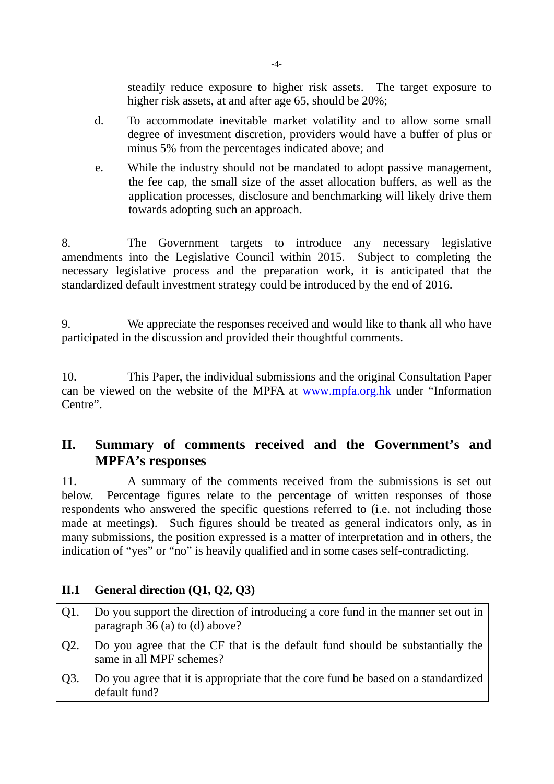steadily reduce exposure to higher risk assets. The target exposure to higher risk assets, at and after age 65, should be 20%;

- d. To accommodate inevitable market volatility and to allow some small degree of investment discretion, providers would have a buffer of plus or minus 5% from the percentages indicated above; and
- e. While the industry should not be mandated to adopt passive management, the fee cap, the small size of the asset allocation buffers, as well as the application processes, disclosure and benchmarking will likely drive them towards adopting such an approach.

8. The Government targets to introduce any necessary legislative amendments into the Legislative Council within 2015. Subject to completing the necessary legislative process and the preparation work, it is anticipated that the standardized default investment strategy could be introduced by the end of 2016.

9. We appreciate the responses received and would like to thank all who have participated in the discussion and provided their thoughtful comments.

10. This Paper, the individual submissions and the original Consultation Paper can be viewed on the website of the MPFA at www.mpfa.org.hk under "Information Centre".

#### **II. Summary of comments received and the Government's and MPFA's responses**

11. A summary of the comments received from the submissions is set out below. Percentage figures relate to the percentage of written responses of those respondents who answered the specific questions referred to (i.e. not including those made at meetings). Such figures should be treated as general indicators only, as in many submissions, the position expressed is a matter of interpretation and in others, the indication of "yes" or "no" is heavily qualified and in some cases self-contradicting.

#### **II.1 General direction (Q1, Q2, Q3)**

- Q1. Do you support the direction of introducing a core fund in the manner set out in paragraph 36 (a) to (d) above?
- Q2. Do you agree that the CF that is the default fund should be substantially the same in all MPF schemes?
- Q3. Do you agree that it is appropriate that the core fund be based on a standardized default fund?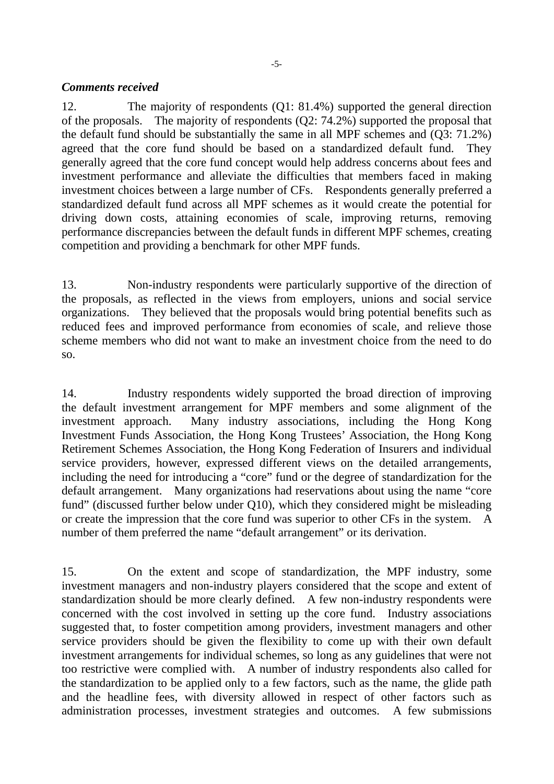#### *Comments received*

12. The majority of respondents (Q1: 81.4%) supported the general direction of the proposals. The majority of respondents (Q2: 74.2%) supported the proposal that the default fund should be substantially the same in all MPF schemes and (Q3: 71.2%) agreed that the core fund should be based on a standardized default fund. They generally agreed that the core fund concept would help address concerns about fees and investment performance and alleviate the difficulties that members faced in making investment choices between a large number of CFs. Respondents generally preferred a standardized default fund across all MPF schemes as it would create the potential for driving down costs, attaining economies of scale, improving returns, removing performance discrepancies between the default funds in different MPF schemes, creating competition and providing a benchmark for other MPF funds.

13. Non-industry respondents were particularly supportive of the direction of the proposals, as reflected in the views from employers, unions and social service organizations. They believed that the proposals would bring potential benefits such as reduced fees and improved performance from economies of scale, and relieve those scheme members who did not want to make an investment choice from the need to do so.

14. Industry respondents widely supported the broad direction of improving the default investment arrangement for MPF members and some alignment of the investment approach. Many industry associations, including the Hong Kong Investment Funds Association, the Hong Kong Trustees' Association, the Hong Kong Retirement Schemes Association, the Hong Kong Federation of Insurers and individual service providers, however, expressed different views on the detailed arrangements, including the need for introducing a "core" fund or the degree of standardization for the default arrangement. Many organizations had reservations about using the name "core fund" (discussed further below under Q10), which they considered might be misleading or create the impression that the core fund was superior to other CFs in the system. A number of them preferred the name "default arrangement" or its derivation.

15. On the extent and scope of standardization, the MPF industry, some investment managers and non-industry players considered that the scope and extent of standardization should be more clearly defined. A few non-industry respondents were concerned with the cost involved in setting up the core fund. Industry associations suggested that, to foster competition among providers, investment managers and other service providers should be given the flexibility to come up with their own default investment arrangements for individual schemes, so long as any guidelines that were not too restrictive were complied with. A number of industry respondents also called for the standardization to be applied only to a few factors, such as the name, the glide path and the headline fees, with diversity allowed in respect of other factors such as administration processes, investment strategies and outcomes. A few submissions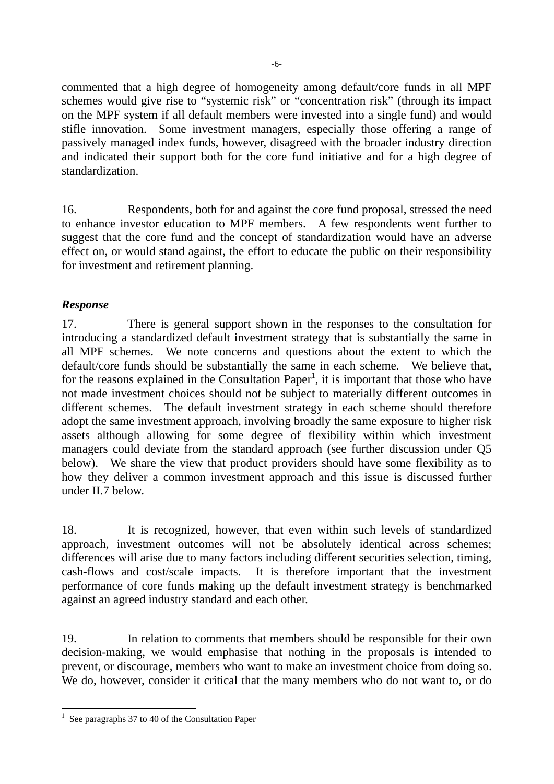commented that a high degree of homogeneity among default/core funds in all MPF schemes would give rise to "systemic risk" or "concentration risk" (through its impact on the MPF system if all default members were invested into a single fund) and would stifle innovation. Some investment managers, especially those offering a range of passively managed index funds, however, disagreed with the broader industry direction and indicated their support both for the core fund initiative and for a high degree of standardization.

16. Respondents, both for and against the core fund proposal, stressed the need to enhance investor education to MPF members. A few respondents went further to suggest that the core fund and the concept of standardization would have an adverse effect on, or would stand against, the effort to educate the public on their responsibility for investment and retirement planning.

#### *Response*

17. There is general support shown in the responses to the consultation for introducing a standardized default investment strategy that is substantially the same in all MPF schemes. We note concerns and questions about the extent to which the default/core funds should be substantially the same in each scheme. We believe that, for the reasons explained in the Consultation Paper<sup>1</sup>, it is important that those who have not made investment choices should not be subject to materially different outcomes in different schemes. The default investment strategy in each scheme should therefore adopt the same investment approach, involving broadly the same exposure to higher risk assets although allowing for some degree of flexibility within which investment managers could deviate from the standard approach (see further discussion under Q5 below). We share the view that product providers should have some flexibility as to how they deliver a common investment approach and this issue is discussed further under II.7 below.

18. It is recognized, however, that even within such levels of standardized approach, investment outcomes will not be absolutely identical across schemes; differences will arise due to many factors including different securities selection, timing, cash-flows and cost/scale impacts. It is therefore important that the investment performance of core funds making up the default investment strategy is benchmarked against an agreed industry standard and each other.

19. In relation to comments that members should be responsible for their own decision-making, we would emphasise that nothing in the proposals is intended to prevent, or discourage, members who want to make an investment choice from doing so. We do, however, consider it critical that the many members who do not want to, or do

 $\overline{a}$ 1 See paragraphs 37 to 40 of the Consultation Paper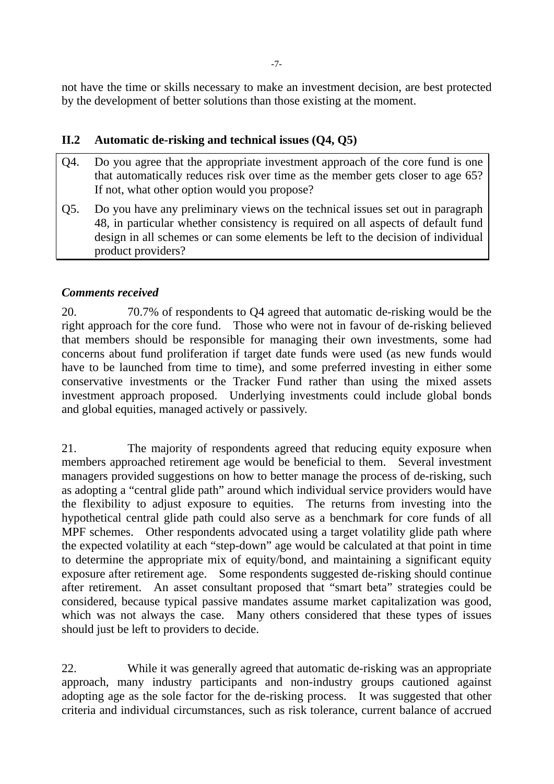not have the time or skills necessary to make an investment decision, are best protected by the development of better solutions than those existing at the moment.

#### **II.2 Automatic de-risking and technical issues (Q4, Q5)**

- Q4. Do you agree that the appropriate investment approach of the core fund is one that automatically reduces risk over time as the member gets closer to age 65? If not, what other option would you propose?
- Q5. Do you have any preliminary views on the technical issues set out in paragraph 48, in particular whether consistency is required on all aspects of default fund design in all schemes or can some elements be left to the decision of individual product providers?

#### *Comments received*

20. 70.7% of respondents to Q4 agreed that automatic de-risking would be the right approach for the core fund. Those who were not in favour of de-risking believed that members should be responsible for managing their own investments, some had concerns about fund proliferation if target date funds were used (as new funds would have to be launched from time to time), and some preferred investing in either some conservative investments or the Tracker Fund rather than using the mixed assets investment approach proposed. Underlying investments could include global bonds and global equities, managed actively or passively.

21. The majority of respondents agreed that reducing equity exposure when members approached retirement age would be beneficial to them. Several investment managers provided suggestions on how to better manage the process of de-risking, such as adopting a "central glide path" around which individual service providers would have the flexibility to adjust exposure to equities. The returns from investing into the hypothetical central glide path could also serve as a benchmark for core funds of all MPF schemes. Other respondents advocated using a target volatility glide path where the expected volatility at each "step-down" age would be calculated at that point in time to determine the appropriate mix of equity/bond, and maintaining a significant equity exposure after retirement age. Some respondents suggested de-risking should continue after retirement. An asset consultant proposed that "smart beta" strategies could be considered, because typical passive mandates assume market capitalization was good, which was not always the case. Many others considered that these types of issues should just be left to providers to decide.

22. While it was generally agreed that automatic de-risking was an appropriate approach, many industry participants and non-industry groups cautioned against adopting age as the sole factor for the de-risking process. It was suggested that other criteria and individual circumstances, such as risk tolerance, current balance of accrued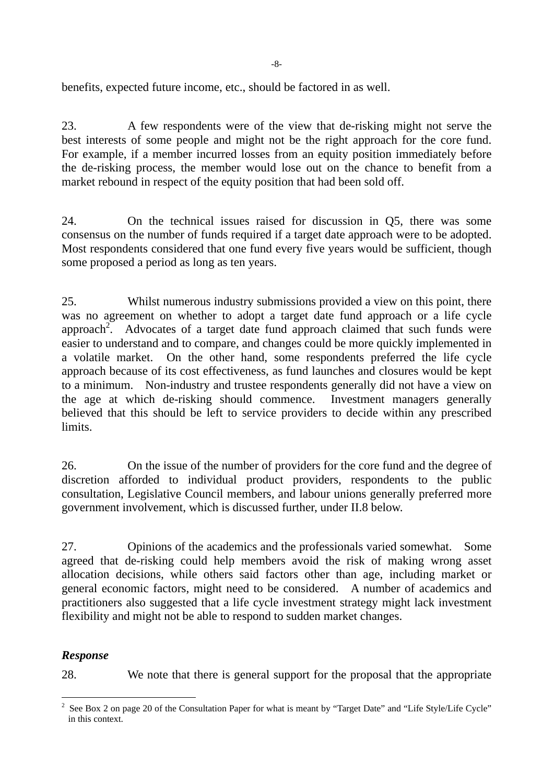-8-

benefits, expected future income, etc., should be factored in as well.

23. A few respondents were of the view that de-risking might not serve the best interests of some people and might not be the right approach for the core fund. For example, if a member incurred losses from an equity position immediately before the de-risking process, the member would lose out on the chance to benefit from a market rebound in respect of the equity position that had been sold off.

24. On the technical issues raised for discussion in Q5, there was some consensus on the number of funds required if a target date approach were to be adopted. Most respondents considered that one fund every five years would be sufficient, though some proposed a period as long as ten years.

25. Whilst numerous industry submissions provided a view on this point, there was no agreement on whether to adopt a target date fund approach or a life cycle approach<sup>2</sup>. . Advocates of a target date fund approach claimed that such funds were easier to understand and to compare, and changes could be more quickly implemented in a volatile market. On the other hand, some respondents preferred the life cycle approach because of its cost effectiveness, as fund launches and closures would be kept to a minimum. Non-industry and trustee respondents generally did not have a view on the age at which de-risking should commence. Investment managers generally believed that this should be left to service providers to decide within any prescribed limits.

26. On the issue of the number of providers for the core fund and the degree of discretion afforded to individual product providers, respondents to the public consultation, Legislative Council members, and labour unions generally preferred more government involvement, which is discussed further, under II.8 below.

27. Opinions of the academics and the professionals varied somewhat. Some agreed that de-risking could help members avoid the risk of making wrong asset allocation decisions, while others said factors other than age, including market or general economic factors, might need to be considered. A number of academics and practitioners also suggested that a life cycle investment strategy might lack investment flexibility and might not be able to respond to sudden market changes.

#### *Response*

 $\overline{a}$ 

28. We note that there is general support for the proposal that the appropriate

<sup>2</sup> See Box 2 on page 20 of the Consultation Paper for what is meant by "Target Date" and "Life Style/Life Cycle" in this context.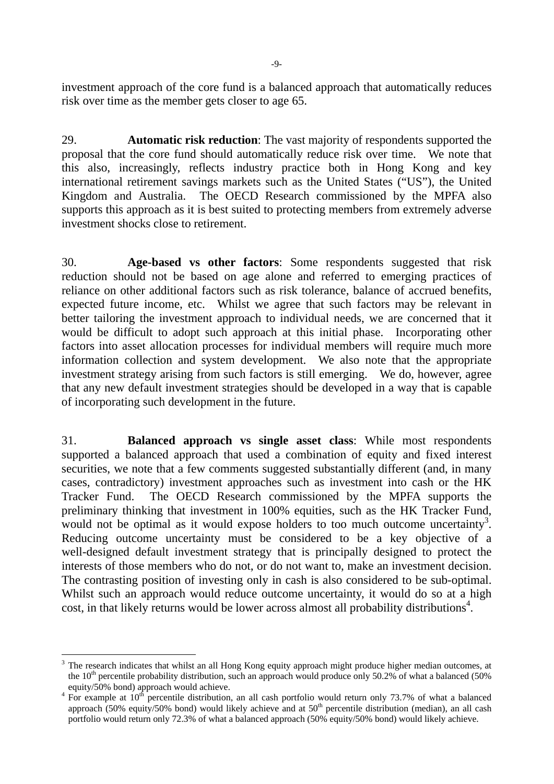investment approach of the core fund is a balanced approach that automatically reduces risk over time as the member gets closer to age 65.

29. **Automatic risk reduction**: The vast majority of respondents supported the proposal that the core fund should automatically reduce risk over time. We note that this also, increasingly, reflects industry practice both in Hong Kong and key international retirement savings markets such as the United States ("US"), the United Kingdom and Australia. The OECD Research commissioned by the MPFA also supports this approach as it is best suited to protecting members from extremely adverse investment shocks close to retirement.

30. **Age-based vs other factors**: Some respondents suggested that risk reduction should not be based on age alone and referred to emerging practices of reliance on other additional factors such as risk tolerance, balance of accrued benefits, expected future income, etc. Whilst we agree that such factors may be relevant in better tailoring the investment approach to individual needs, we are concerned that it would be difficult to adopt such approach at this initial phase. Incorporating other factors into asset allocation processes for individual members will require much more information collection and system development. We also note that the appropriate investment strategy arising from such factors is still emerging. We do, however, agree that any new default investment strategies should be developed in a way that is capable of incorporating such development in the future.

31. **Balanced approach vs single asset class**: While most respondents supported a balanced approach that used a combination of equity and fixed interest securities, we note that a few comments suggested substantially different (and, in many cases, contradictory) investment approaches such as investment into cash or the HK Tracker Fund. The OECD Research commissioned by the MPFA supports the preliminary thinking that investment in 100% equities, such as the HK Tracker Fund, would not be optimal as it would expose holders to too much outcome uncertainty<sup>3</sup>. Reducing outcome uncertainty must be considered to be a key objective of a well-designed default investment strategy that is principally designed to protect the interests of those members who do not, or do not want to, make an investment decision. The contrasting position of investing only in cash is also considered to be sub-optimal. Whilst such an approach would reduce outcome uncertainty, it would do so at a high cost, in that likely returns would be lower across almost all probability distributions<sup>4</sup>.

 $\overline{a}$ 

<sup>&</sup>lt;sup>3</sup> The research indicates that whilst an all Hong Kong equity approach might produce higher median outcomes, at the  $10<sup>th</sup>$  percentile probability distribution, such an approach would produce only 50.2% of what a balanced (50%) equity/ $50\%$  bond) approach would achieve.

 $^{4}$  For example at  $10^{th}$  percentile distribution, an all cash portfolio would return only 73.7% of what a balanced approach (50% equity/50% bond) would likely achieve and at  $50<sup>th</sup>$  percentile distribution (median), an all cash portfolio would return only 72.3% of what a balanced approach (50% equity/50% bond) would likely achieve.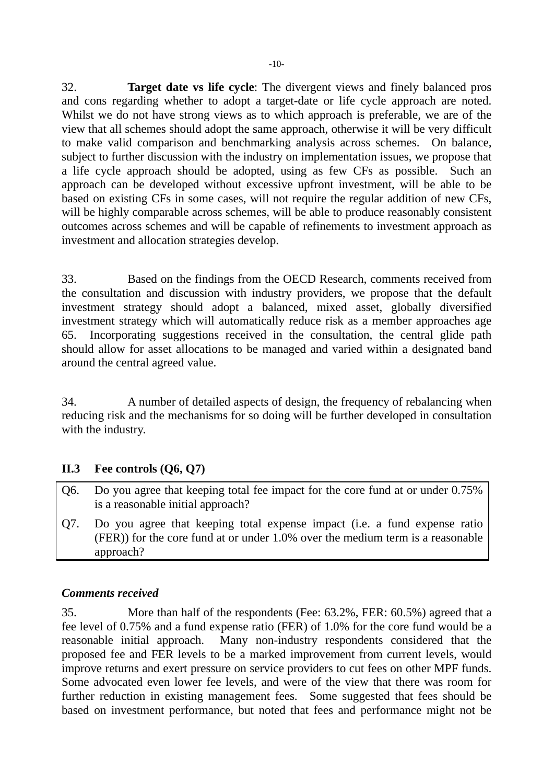32. **Target date vs life cycle**: The divergent views and finely balanced pros and cons regarding whether to adopt a target-date or life cycle approach are noted. Whilst we do not have strong views as to which approach is preferable, we are of the view that all schemes should adopt the same approach, otherwise it will be very difficult to make valid comparison and benchmarking analysis across schemes. On balance, subject to further discussion with the industry on implementation issues, we propose that a life cycle approach should be adopted, using as few CFs as possible. Such an approach can be developed without excessive upfront investment, will be able to be based on existing CFs in some cases, will not require the regular addition of new CFs, will be highly comparable across schemes, will be able to produce reasonably consistent outcomes across schemes and will be capable of refinements to investment approach as investment and allocation strategies develop.

33. Based on the findings from the OECD Research, comments received from the consultation and discussion with industry providers, we propose that the default investment strategy should adopt a balanced, mixed asset, globally diversified investment strategy which will automatically reduce risk as a member approaches age 65. Incorporating suggestions received in the consultation, the central glide path should allow for asset allocations to be managed and varied within a designated band around the central agreed value.

34. A number of detailed aspects of design, the frequency of rebalancing when reducing risk and the mechanisms for so doing will be further developed in consultation with the industry.

#### **II.3 Fee controls (Q6, Q7)**

- Q6. Do you agree that keeping total fee impact for the core fund at or under 0.75% is a reasonable initial approach?
- Q7. Do you agree that keeping total expense impact (i.e. a fund expense ratio (FER)) for the core fund at or under 1.0% over the medium term is a reasonable approach?

#### *Comments received*

35. More than half of the respondents (Fee: 63.2%, FER: 60.5%) agreed that a fee level of 0.75% and a fund expense ratio (FER) of 1.0% for the core fund would be a reasonable initial approach. Many non-industry respondents considered that the proposed fee and FER levels to be a marked improvement from current levels, would improve returns and exert pressure on service providers to cut fees on other MPF funds. Some advocated even lower fee levels, and were of the view that there was room for further reduction in existing management fees. Some suggested that fees should be based on investment performance, but noted that fees and performance might not be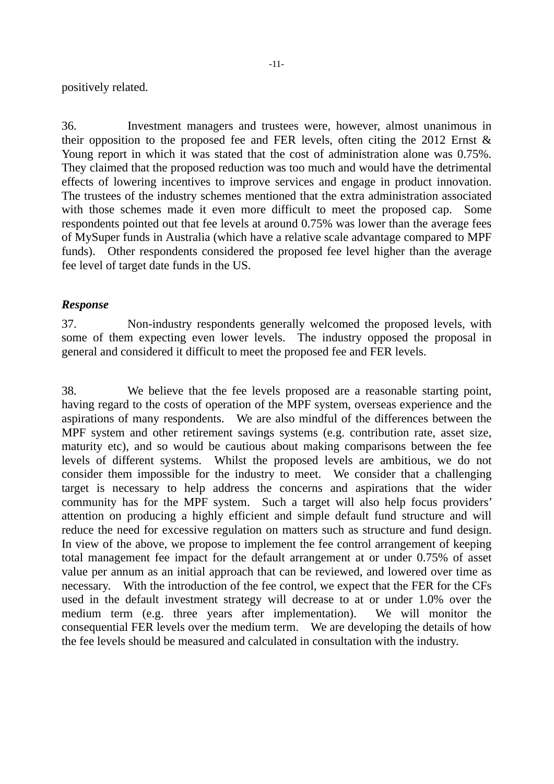-11-

positively related.

36. Investment managers and trustees were, however, almost unanimous in their opposition to the proposed fee and FER levels, often citing the 2012 Ernst  $\&$ Young report in which it was stated that the cost of administration alone was 0.75%. They claimed that the proposed reduction was too much and would have the detrimental effects of lowering incentives to improve services and engage in product innovation. The trustees of the industry schemes mentioned that the extra administration associated with those schemes made it even more difficult to meet the proposed cap. Some respondents pointed out that fee levels at around 0.75% was lower than the average fees of MySuper funds in Australia (which have a relative scale advantage compared to MPF funds). Other respondents considered the proposed fee level higher than the average fee level of target date funds in the US.

#### *Response*

37. Non-industry respondents generally welcomed the proposed levels, with some of them expecting even lower levels. The industry opposed the proposal in general and considered it difficult to meet the proposed fee and FER levels.

38. We believe that the fee levels proposed are a reasonable starting point, having regard to the costs of operation of the MPF system, overseas experience and the aspirations of many respondents. We are also mindful of the differences between the MPF system and other retirement savings systems (e.g. contribution rate, asset size, maturity etc), and so would be cautious about making comparisons between the fee levels of different systems. Whilst the proposed levels are ambitious, we do not consider them impossible for the industry to meet. We consider that a challenging target is necessary to help address the concerns and aspirations that the wider community has for the MPF system. Such a target will also help focus providers' attention on producing a highly efficient and simple default fund structure and will reduce the need for excessive regulation on matters such as structure and fund design. In view of the above, we propose to implement the fee control arrangement of keeping total management fee impact for the default arrangement at or under 0.75% of asset value per annum as an initial approach that can be reviewed, and lowered over time as necessary. With the introduction of the fee control, we expect that the FER for the CFs used in the default investment strategy will decrease to at or under 1.0% over the medium term (e.g. three years after implementation). We will monitor the consequential FER levels over the medium term. We are developing the details of how the fee levels should be measured and calculated in consultation with the industry.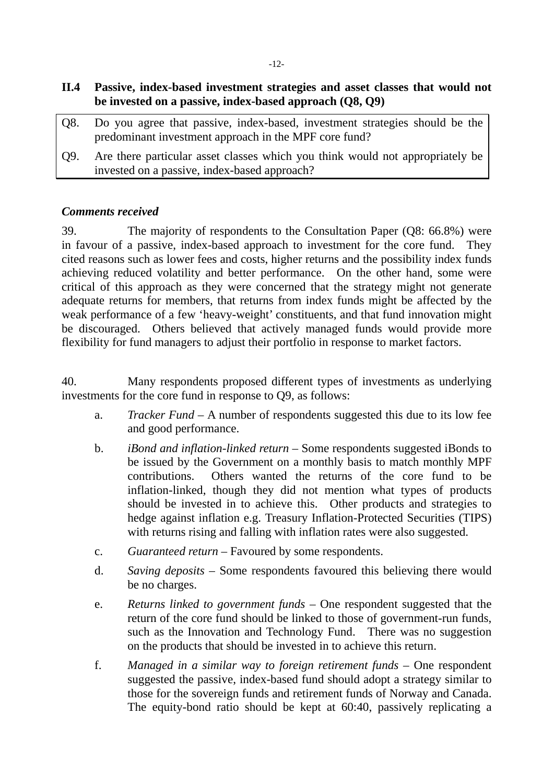| O8. | Do you agree that passive, index-based, investment strategies should be the<br>predominant investment approach in the MPF core fund? |
|-----|--------------------------------------------------------------------------------------------------------------------------------------|
| O9. | Are there particular asset classes which you think would not appropriately be<br>invested on a passive, index-based approach?        |

#### *Comments received*

39. The majority of respondents to the Consultation Paper (Q8: 66.8%) were in favour of a passive, index-based approach to investment for the core fund. They cited reasons such as lower fees and costs, higher returns and the possibility index funds achieving reduced volatility and better performance. On the other hand, some were critical of this approach as they were concerned that the strategy might not generate adequate returns for members, that returns from index funds might be affected by the weak performance of a few 'heavy-weight' constituents, and that fund innovation might be discouraged. Others believed that actively managed funds would provide more flexibility for fund managers to adjust their portfolio in response to market factors.

40. Many respondents proposed different types of investments as underlying investments for the core fund in response to Q9, as follows:

- a. *Tracker Fund* A number of respondents suggested this due to its low fee and good performance.
- b. *iBond and inflation-linked return*  Some respondents suggested iBonds to be issued by the Government on a monthly basis to match monthly MPF contributions. Others wanted the returns of the core fund to be inflation-linked, though they did not mention what types of products should be invested in to achieve this. Other products and strategies to hedge against inflation e.g. Treasury Inflation-Protected Securities (TIPS) with returns rising and falling with inflation rates were also suggested.
- c. *Guaranteed return*  Favoured by some respondents.
- d. *Saving deposits* Some respondents favoured this believing there would be no charges.
- e. *Returns linked to government funds*  One respondent suggested that the return of the core fund should be linked to those of government-run funds, such as the Innovation and Technology Fund. There was no suggestion on the products that should be invested in to achieve this return.
- f. *Managed in a similar way to foreign retirement funds*  One respondent suggested the passive, index-based fund should adopt a strategy similar to those for the sovereign funds and retirement funds of Norway and Canada. The equity-bond ratio should be kept at 60:40, passively replicating a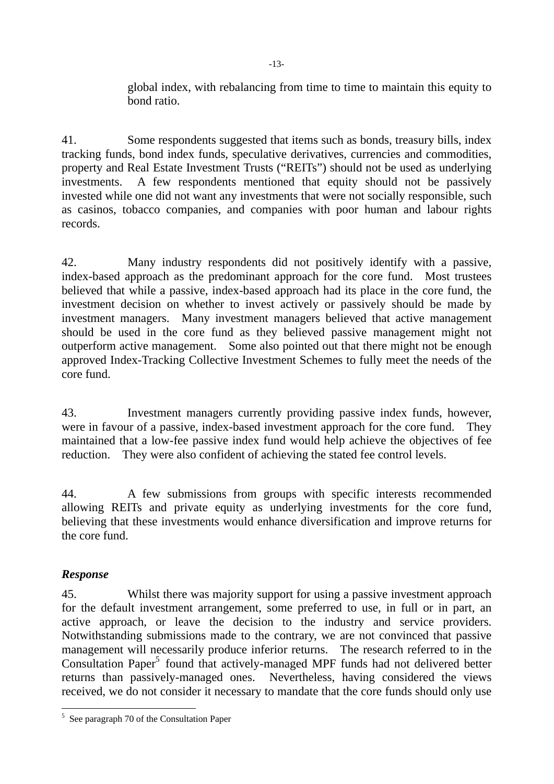global index, with rebalancing from time to time to maintain this equity to bond ratio.

41. Some respondents suggested that items such as bonds, treasury bills, index tracking funds, bond index funds, speculative derivatives, currencies and commodities, property and Real Estate Investment Trusts ("REITs") should not be used as underlying investments. A few respondents mentioned that equity should not be passively invested while one did not want any investments that were not socially responsible, such as casinos, tobacco companies, and companies with poor human and labour rights records.

42. Many industry respondents did not positively identify with a passive, index-based approach as the predominant approach for the core fund. Most trustees believed that while a passive, index-based approach had its place in the core fund, the investment decision on whether to invest actively or passively should be made by investment managers. Many investment managers believed that active management should be used in the core fund as they believed passive management might not outperform active management. Some also pointed out that there might not be enough approved Index-Tracking Collective Investment Schemes to fully meet the needs of the core fund.

43. Investment managers currently providing passive index funds, however, were in favour of a passive, index-based investment approach for the core fund. They maintained that a low-fee passive index fund would help achieve the objectives of fee reduction. They were also confident of achieving the stated fee control levels.

44. A few submissions from groups with specific interests recommended allowing REITs and private equity as underlying investments for the core fund, believing that these investments would enhance diversification and improve returns for the core fund.

#### *Response*

45. Whilst there was majority support for using a passive investment approach for the default investment arrangement, some preferred to use, in full or in part, an active approach, or leave the decision to the industry and service providers. Notwithstanding submissions made to the contrary, we are not convinced that passive management will necessarily produce inferior returns. The research referred to in the Consultation Paper<sup>5</sup> found that actively-managed MPF funds had not delivered better returns than passively-managed ones. Nevertheless, having considered the views received, we do not consider it necessary to mandate that the core funds should only use

 5 See paragraph 70 of the Consultation Paper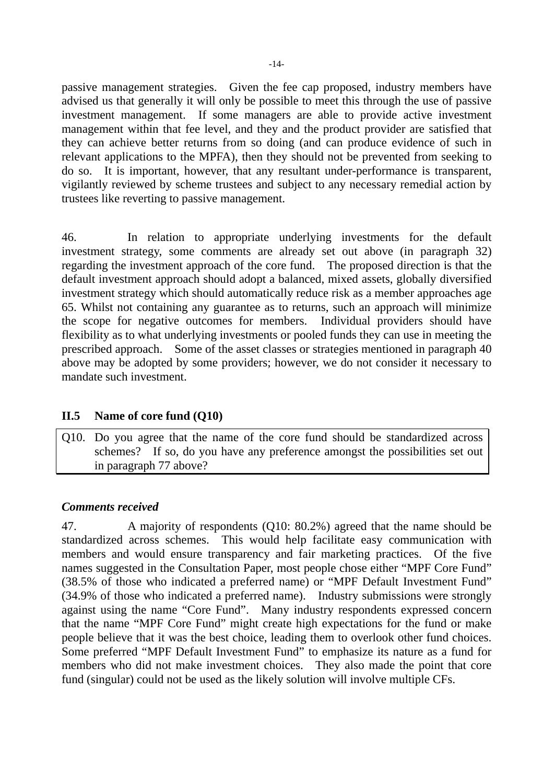passive management strategies. Given the fee cap proposed, industry members have advised us that generally it will only be possible to meet this through the use of passive investment management. If some managers are able to provide active investment management within that fee level, and they and the product provider are satisfied that they can achieve better returns from so doing (and can produce evidence of such in relevant applications to the MPFA), then they should not be prevented from seeking to do so. It is important, however, that any resultant under-performance is transparent, vigilantly reviewed by scheme trustees and subject to any necessary remedial action by trustees like reverting to passive management.

46. In relation to appropriate underlying investments for the default investment strategy, some comments are already set out above (in paragraph 32) regarding the investment approach of the core fund. The proposed direction is that the default investment approach should adopt a balanced, mixed assets, globally diversified investment strategy which should automatically reduce risk as a member approaches age 65. Whilst not containing any guarantee as to returns, such an approach will minimize the scope for negative outcomes for members. Individual providers should have flexibility as to what underlying investments or pooled funds they can use in meeting the prescribed approach. Some of the asset classes or strategies mentioned in paragraph 40 above may be adopted by some providers; however, we do not consider it necessary to mandate such investment.

#### **II.5 Name of core fund (Q10)**

Q10. Do you agree that the name of the core fund should be standardized across schemes? If so, do you have any preference amongst the possibilities set out in paragraph 77 above?

#### *Comments received*

47. A majority of respondents (Q10: 80.2%) agreed that the name should be standardized across schemes. This would help facilitate easy communication with members and would ensure transparency and fair marketing practices. Of the five names suggested in the Consultation Paper, most people chose either "MPF Core Fund" (38.5% of those who indicated a preferred name) or "MPF Default Investment Fund" (34.9% of those who indicated a preferred name). Industry submissions were strongly against using the name "Core Fund". Many industry respondents expressed concern that the name "MPF Core Fund" might create high expectations for the fund or make people believe that it was the best choice, leading them to overlook other fund choices. Some preferred "MPF Default Investment Fund" to emphasize its nature as a fund for members who did not make investment choices. They also made the point that core fund (singular) could not be used as the likely solution will involve multiple CFs.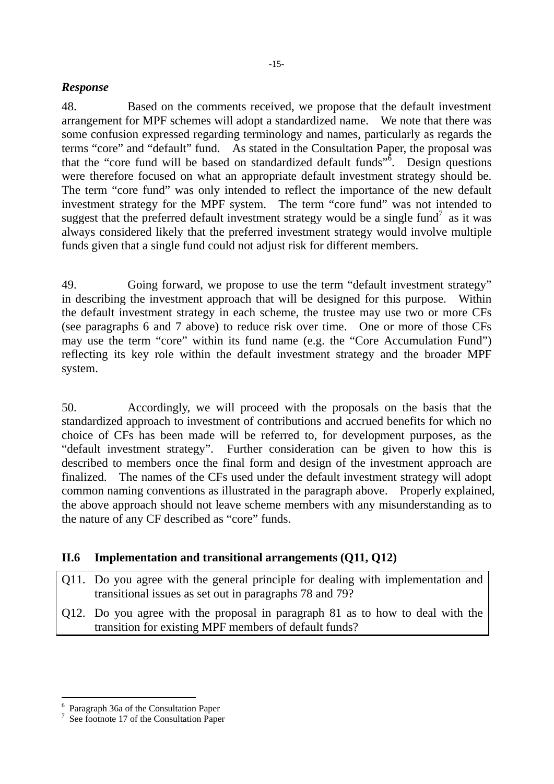#### *Response*

48. Based on the comments received, we propose that the default investment arrangement for MPF schemes will adopt a standardized name. We note that there was some confusion expressed regarding terminology and names, particularly as regards the terms "core" and "default" fund. As stated in the Consultation Paper, the proposal was that the "core fund will be based on standardized default funds" $\delta$ . Design questions were therefore focused on what an appropriate default investment strategy should be. The term "core fund" was only intended to reflect the importance of the new default investment strategy for the MPF system. The term "core fund" was not intended to suggest that the preferred default investment strategy would be a single fund<sup>7</sup> as it was always considered likely that the preferred investment strategy would involve multiple funds given that a single fund could not adjust risk for different members.

49. Going forward, we propose to use the term "default investment strategy" in describing the investment approach that will be designed for this purpose. Within the default investment strategy in each scheme, the trustee may use two or more CFs (see paragraphs 6 and 7 above) to reduce risk over time. One or more of those CFs may use the term "core" within its fund name (e.g. the "Core Accumulation Fund") reflecting its key role within the default investment strategy and the broader MPF system.

50. Accordingly, we will proceed with the proposals on the basis that the standardized approach to investment of contributions and accrued benefits for which no choice of CFs has been made will be referred to, for development purposes, as the "default investment strategy". Further consideration can be given to how this is described to members once the final form and design of the investment approach are finalized. The names of the CFs used under the default investment strategy will adopt common naming conventions as illustrated in the paragraph above. Properly explained, the above approach should not leave scheme members with any misunderstanding as to the nature of any CF described as "core" funds.

#### **II.6 Implementation and transitional arrangements (Q11, Q12)**

- Q11. Do you agree with the general principle for dealing with implementation and transitional issues as set out in paragraphs 78 and 79?
- Q12. Do you agree with the proposal in paragraph 81 as to how to deal with the transition for existing MPF members of default funds?

 $\overline{a}$ 

<sup>6</sup> Paragraph 36a of the Consultation Paper

<sup>7</sup> See footnote 17 of the Consultation Paper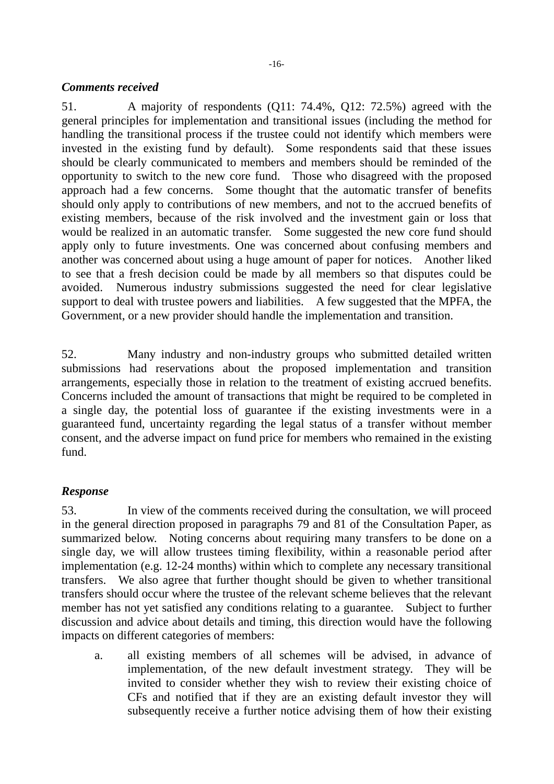#### *Comments received*

51. A majority of respondents (Q11: 74.4%, Q12: 72.5%) agreed with the general principles for implementation and transitional issues (including the method for handling the transitional process if the trustee could not identify which members were invested in the existing fund by default). Some respondents said that these issues should be clearly communicated to members and members should be reminded of the opportunity to switch to the new core fund. Those who disagreed with the proposed approach had a few concerns. Some thought that the automatic transfer of benefits should only apply to contributions of new members, and not to the accrued benefits of existing members, because of the risk involved and the investment gain or loss that would be realized in an automatic transfer. Some suggested the new core fund should apply only to future investments. One was concerned about confusing members and another was concerned about using a huge amount of paper for notices. Another liked to see that a fresh decision could be made by all members so that disputes could be avoided. Numerous industry submissions suggested the need for clear legislative support to deal with trustee powers and liabilities. A few suggested that the MPFA, the Government, or a new provider should handle the implementation and transition.

52. Many industry and non-industry groups who submitted detailed written submissions had reservations about the proposed implementation and transition arrangements, especially those in relation to the treatment of existing accrued benefits. Concerns included the amount of transactions that might be required to be completed in a single day, the potential loss of guarantee if the existing investments were in a guaranteed fund, uncertainty regarding the legal status of a transfer without member consent, and the adverse impact on fund price for members who remained in the existing fund.

#### *Response*

53. In view of the comments received during the consultation, we will proceed in the general direction proposed in paragraphs 79 and 81 of the Consultation Paper, as summarized below. Noting concerns about requiring many transfers to be done on a single day, we will allow trustees timing flexibility, within a reasonable period after implementation (e.g. 12-24 months) within which to complete any necessary transitional transfers. We also agree that further thought should be given to whether transitional transfers should occur where the trustee of the relevant scheme believes that the relevant member has not yet satisfied any conditions relating to a guarantee. Subject to further discussion and advice about details and timing, this direction would have the following impacts on different categories of members:

a. all existing members of all schemes will be advised, in advance of implementation, of the new default investment strategy. They will be invited to consider whether they wish to review their existing choice of CFs and notified that if they are an existing default investor they will subsequently receive a further notice advising them of how their existing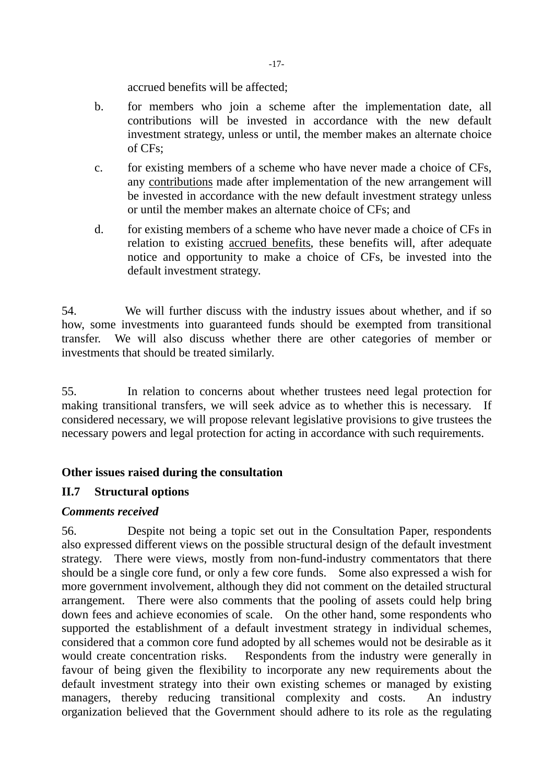accrued benefits will be affected;

- b. for members who join a scheme after the implementation date, all contributions will be invested in accordance with the new default investment strategy, unless or until, the member makes an alternate choice of CFs;
- c. for existing members of a scheme who have never made a choice of CFs, any contributions made after implementation of the new arrangement will be invested in accordance with the new default investment strategy unless or until the member makes an alternate choice of CFs; and
- d. for existing members of a scheme who have never made a choice of CFs in relation to existing accrued benefits, these benefits will, after adequate notice and opportunity to make a choice of CFs, be invested into the default investment strategy.

54. We will further discuss with the industry issues about whether, and if so how, some investments into guaranteed funds should be exempted from transitional transfer. We will also discuss whether there are other categories of member or investments that should be treated similarly.

55. In relation to concerns about whether trustees need legal protection for making transitional transfers, we will seek advice as to whether this is necessary. If considered necessary, we will propose relevant legislative provisions to give trustees the necessary powers and legal protection for acting in accordance with such requirements.

#### **Other issues raised during the consultation**

#### **II.7 Structural options**

#### *Comments received*

56. Despite not being a topic set out in the Consultation Paper, respondents also expressed different views on the possible structural design of the default investment strategy. There were views, mostly from non-fund-industry commentators that there should be a single core fund, or only a few core funds. Some also expressed a wish for more government involvement, although they did not comment on the detailed structural arrangement. There were also comments that the pooling of assets could help bring down fees and achieve economies of scale. On the other hand, some respondents who supported the establishment of a default investment strategy in individual schemes, considered that a common core fund adopted by all schemes would not be desirable as it would create concentration risks. Respondents from the industry were generally in favour of being given the flexibility to incorporate any new requirements about the default investment strategy into their own existing schemes or managed by existing managers, thereby reducing transitional complexity and costs. An industry organization believed that the Government should adhere to its role as the regulating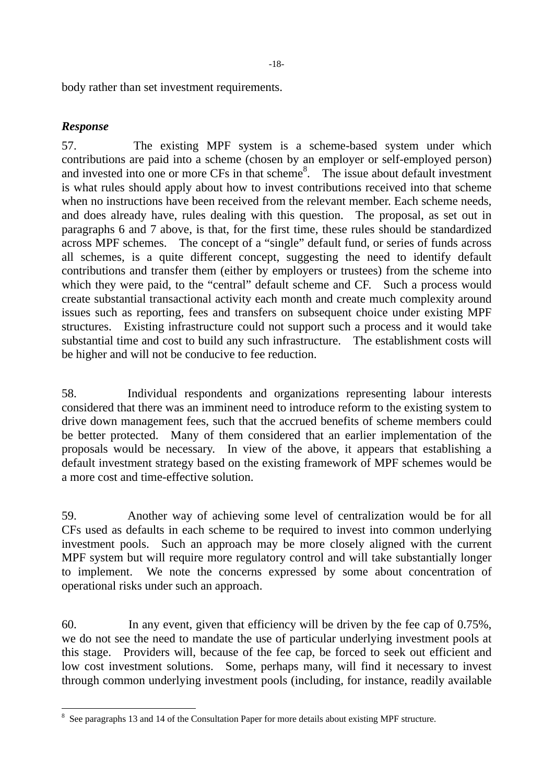body rather than set investment requirements.

#### *Response*

57. The existing MPF system is a scheme-based system under which contributions are paid into a scheme (chosen by an employer or self-employed person) and invested into one or more CFs in that scheme<sup>8</sup>. The issue about default investment is what rules should apply about how to invest contributions received into that scheme when no instructions have been received from the relevant member. Each scheme needs, and does already have, rules dealing with this question. The proposal, as set out in paragraphs 6 and 7 above, is that, for the first time, these rules should be standardized across MPF schemes. The concept of a "single" default fund, or series of funds across all schemes, is a quite different concept, suggesting the need to identify default contributions and transfer them (either by employers or trustees) from the scheme into which they were paid, to the "central" default scheme and CF. Such a process would create substantial transactional activity each month and create much complexity around issues such as reporting, fees and transfers on subsequent choice under existing MPF structures. Existing infrastructure could not support such a process and it would take substantial time and cost to build any such infrastructure. The establishment costs will be higher and will not be conducive to fee reduction.

58. Individual respondents and organizations representing labour interests considered that there was an imminent need to introduce reform to the existing system to drive down management fees, such that the accrued benefits of scheme members could be better protected. Many of them considered that an earlier implementation of the proposals would be necessary. In view of the above, it appears that establishing a default investment strategy based on the existing framework of MPF schemes would be a more cost and time-effective solution.

59. Another way of achieving some level of centralization would be for all CFs used as defaults in each scheme to be required to invest into common underlying investment pools. Such an approach may be more closely aligned with the current MPF system but will require more regulatory control and will take substantially longer to implement. We note the concerns expressed by some about concentration of operational risks under such an approach.

60. In any event, given that efficiency will be driven by the fee cap of 0.75%, we do not see the need to mandate the use of particular underlying investment pools at this stage. Providers will, because of the fee cap, be forced to seek out efficient and low cost investment solutions. Some, perhaps many, will find it necessary to invest through common underlying investment pools (including, for instance, readily available

 $\overline{a}$  $8\,$  See paragraphs 13 and 14 of the Consultation Paper for more details about existing MPF structure.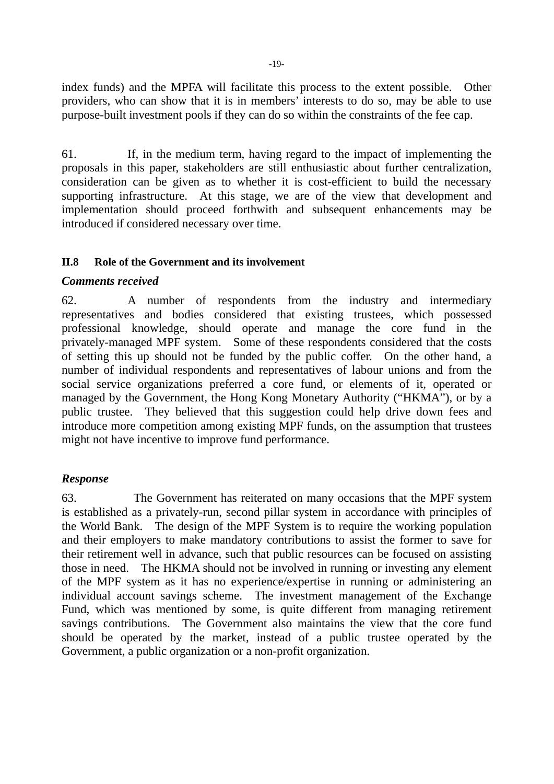index funds) and the MPFA will facilitate this process to the extent possible. Other providers, who can show that it is in members' interests to do so, may be able to use purpose-built investment pools if they can do so within the constraints of the fee cap.

61. If, in the medium term, having regard to the impact of implementing the proposals in this paper, stakeholders are still enthusiastic about further centralization, consideration can be given as to whether it is cost-efficient to build the necessary supporting infrastructure. At this stage, we are of the view that development and implementation should proceed forthwith and subsequent enhancements may be introduced if considered necessary over time.

#### **II.8 Role of the Government and its involvement**

#### *Comments received*

62. A number of respondents from the industry and intermediary representatives and bodies considered that existing trustees, which possessed professional knowledge, should operate and manage the core fund in the privately-managed MPF system. Some of these respondents considered that the costs of setting this up should not be funded by the public coffer. On the other hand, a number of individual respondents and representatives of labour unions and from the social service organizations preferred a core fund, or elements of it, operated or managed by the Government, the Hong Kong Monetary Authority ("HKMA"), or by a public trustee. They believed that this suggestion could help drive down fees and introduce more competition among existing MPF funds, on the assumption that trustees might not have incentive to improve fund performance.

#### *Response*

63. The Government has reiterated on many occasions that the MPF system is established as a privately-run, second pillar system in accordance with principles of the World Bank. The design of the MPF System is to require the working population and their employers to make mandatory contributions to assist the former to save for their retirement well in advance, such that public resources can be focused on assisting those in need. The HKMA should not be involved in running or investing any element of the MPF system as it has no experience/expertise in running or administering an individual account savings scheme. The investment management of the Exchange Fund, which was mentioned by some, is quite different from managing retirement savings contributions. The Government also maintains the view that the core fund should be operated by the market, instead of a public trustee operated by the Government, a public organization or a non-profit organization.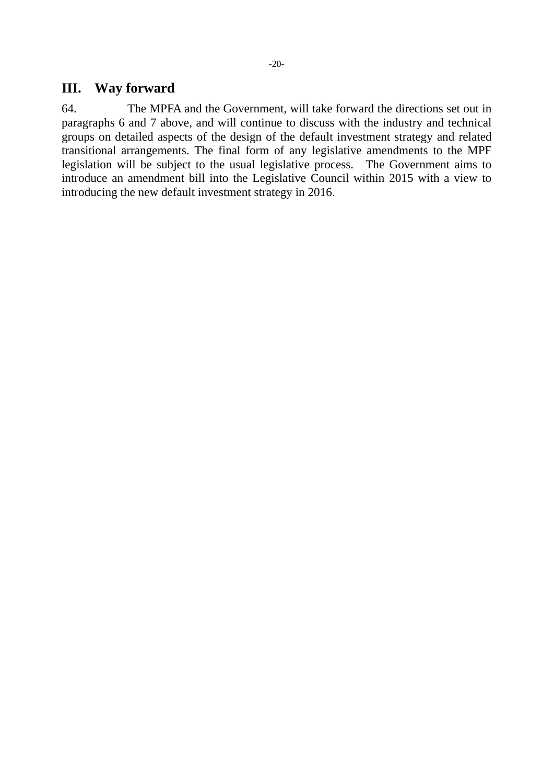#### **III. Way forward**

64. The MPFA and the Government, will take forward the directions set out in paragraphs 6 and 7 above, and will continue to discuss with the industry and technical groups on detailed aspects of the design of the default investment strategy and related transitional arrangements. The final form of any legislative amendments to the MPF legislation will be subject to the usual legislative process. The Government aims to introduce an amendment bill into the Legislative Council within 2015 with a view to introducing the new default investment strategy in 2016.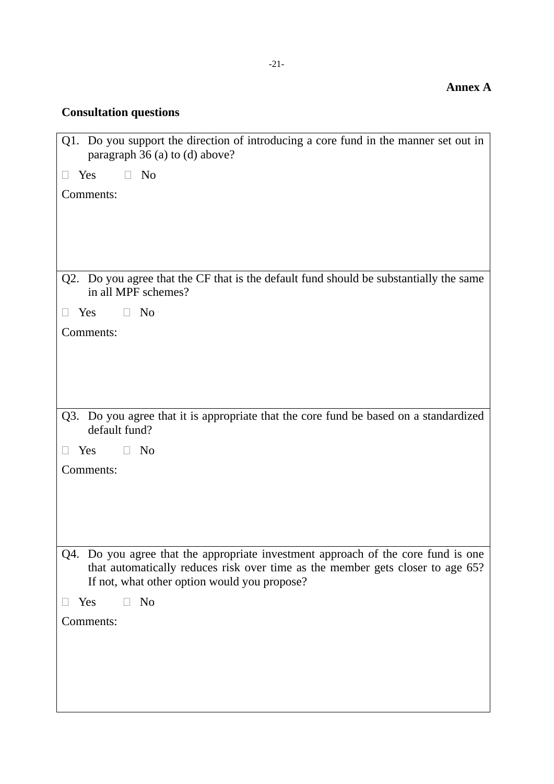### **Consultation questions**

| Q1. Do you support the direction of introducing a core fund in the manner set out in<br>paragraph 36 (a) to (d) above?                                                                                              |  |  |
|---------------------------------------------------------------------------------------------------------------------------------------------------------------------------------------------------------------------|--|--|
| N <sub>o</sub><br>Yes                                                                                                                                                                                               |  |  |
| Comments:                                                                                                                                                                                                           |  |  |
|                                                                                                                                                                                                                     |  |  |
|                                                                                                                                                                                                                     |  |  |
|                                                                                                                                                                                                                     |  |  |
| Q2. Do you agree that the CF that is the default fund should be substantially the same<br>in all MPF schemes?                                                                                                       |  |  |
| Yes<br>N <sub>o</sub>                                                                                                                                                                                               |  |  |
| Comments:                                                                                                                                                                                                           |  |  |
|                                                                                                                                                                                                                     |  |  |
|                                                                                                                                                                                                                     |  |  |
|                                                                                                                                                                                                                     |  |  |
| Q3. Do you agree that it is appropriate that the core fund be based on a standardized<br>default fund?                                                                                                              |  |  |
| Yes<br>N <sub>o</sub>                                                                                                                                                                                               |  |  |
| Comments:                                                                                                                                                                                                           |  |  |
|                                                                                                                                                                                                                     |  |  |
|                                                                                                                                                                                                                     |  |  |
|                                                                                                                                                                                                                     |  |  |
| Q4. Do you agree that the appropriate investment approach of the core fund is one<br>that automatically reduces risk over time as the member gets closer to age 65?<br>If not, what other option would you propose? |  |  |
| Yes<br>N <sub>o</sub>                                                                                                                                                                                               |  |  |
| Comments:                                                                                                                                                                                                           |  |  |
|                                                                                                                                                                                                                     |  |  |
|                                                                                                                                                                                                                     |  |  |
|                                                                                                                                                                                                                     |  |  |
|                                                                                                                                                                                                                     |  |  |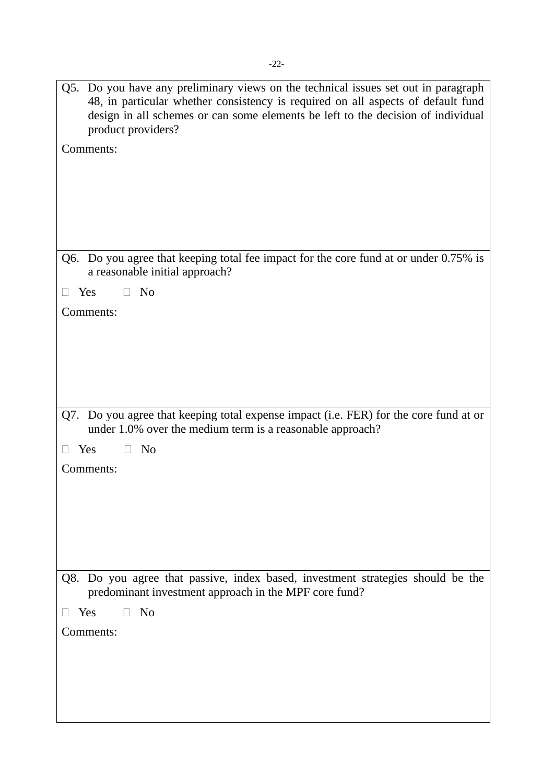| Q5. Do you have any preliminary views on the technical issues set out in paragraph<br>48, in particular whether consistency is required on all aspects of default fund<br>design in all schemes or can some elements be left to the decision of individual<br>product providers?<br>Comments: |
|-----------------------------------------------------------------------------------------------------------------------------------------------------------------------------------------------------------------------------------------------------------------------------------------------|
| Q6. Do you agree that keeping total fee impact for the core fund at or under 0.75% is<br>a reasonable initial approach?                                                                                                                                                                       |
| Yes<br>N <sub>o</sub><br>$\Box$                                                                                                                                                                                                                                                               |
| Comments:                                                                                                                                                                                                                                                                                     |
|                                                                                                                                                                                                                                                                                               |
|                                                                                                                                                                                                                                                                                               |
|                                                                                                                                                                                                                                                                                               |
|                                                                                                                                                                                                                                                                                               |
|                                                                                                                                                                                                                                                                                               |
| Q7. Do you agree that keeping total expense impact (i.e. FER) for the core fund at or<br>under 1.0% over the medium term is a reasonable approach?                                                                                                                                            |
| Yes<br>N <sub>0</sub>                                                                                                                                                                                                                                                                         |
| Comments:                                                                                                                                                                                                                                                                                     |
|                                                                                                                                                                                                                                                                                               |
|                                                                                                                                                                                                                                                                                               |
|                                                                                                                                                                                                                                                                                               |
|                                                                                                                                                                                                                                                                                               |
|                                                                                                                                                                                                                                                                                               |
| Do you agree that passive, index based, investment strategies should be the<br>Q8.<br>predominant investment approach in the MPF core fund?                                                                                                                                                   |
| N <sub>o</sub><br>Yes<br>П.                                                                                                                                                                                                                                                                   |
| Comments:                                                                                                                                                                                                                                                                                     |
|                                                                                                                                                                                                                                                                                               |
|                                                                                                                                                                                                                                                                                               |
|                                                                                                                                                                                                                                                                                               |
|                                                                                                                                                                                                                                                                                               |
|                                                                                                                                                                                                                                                                                               |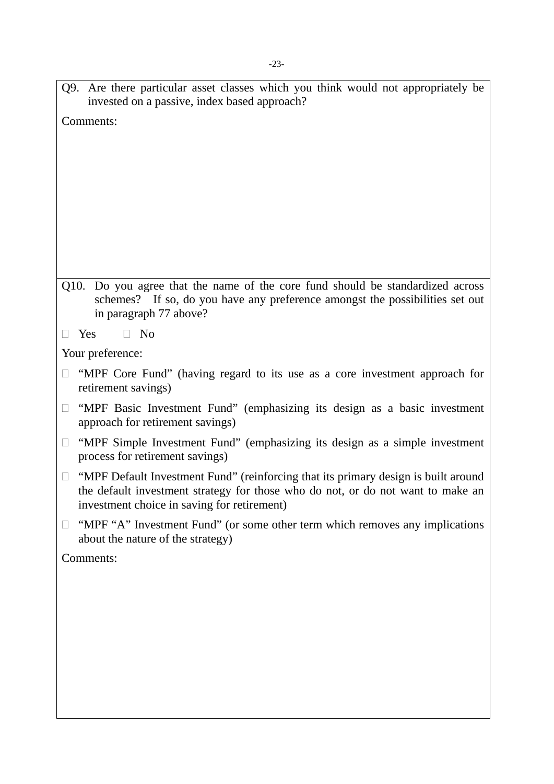Q9. Are there particular asset classes which you think would not appropriately be invested on a passive, index based approach?

Comments:

- Q10. Do you agree that the name of the core fund should be standardized across schemes? If so, do you have any preference amongst the possibilities set out in paragraph 77 above?
- $\Box$  Yes  $\Box$  No

Your preference:

- $\Box$  "MPF Core Fund" (having regard to its use as a core investment approach for retirement savings)
- $\Box$  "MPF Basic Investment Fund" (emphasizing its design as a basic investment approach for retirement savings)
- $\Box$  "MPF Simple Investment Fund" (emphasizing its design as a simple investment process for retirement savings)
- $\Box$  "MPF Default Investment Fund" (reinforcing that its primary design is built around the default investment strategy for those who do not, or do not want to make an investment choice in saving for retirement)
- $\Box$  "MPF "A" Investment Fund" (or some other term which removes any implications about the nature of the strategy)

Comments: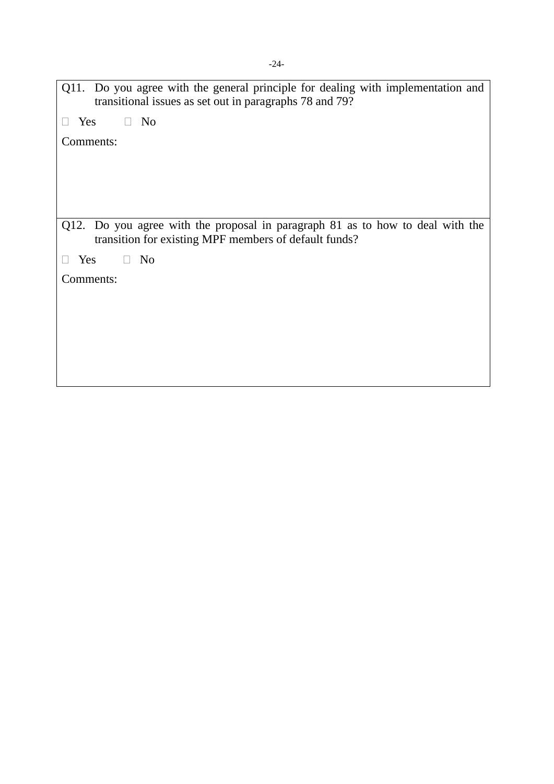| Q11. Do you agree with the general principle for dealing with implementation and<br>transitional issues as set out in paragraphs 78 and 79? |  |  |  |  |
|---------------------------------------------------------------------------------------------------------------------------------------------|--|--|--|--|
| N <sub>0</sub><br>Yes                                                                                                                       |  |  |  |  |
| Comments:                                                                                                                                   |  |  |  |  |
|                                                                                                                                             |  |  |  |  |
|                                                                                                                                             |  |  |  |  |
|                                                                                                                                             |  |  |  |  |
|                                                                                                                                             |  |  |  |  |
| Q12. Do you agree with the proposal in paragraph 81 as to how to deal with the<br>transition for existing MPF members of default funds?     |  |  |  |  |
| N <sub>0</sub><br>Yes<br>$\Box$                                                                                                             |  |  |  |  |
| Comments:                                                                                                                                   |  |  |  |  |
|                                                                                                                                             |  |  |  |  |
|                                                                                                                                             |  |  |  |  |
|                                                                                                                                             |  |  |  |  |
|                                                                                                                                             |  |  |  |  |
|                                                                                                                                             |  |  |  |  |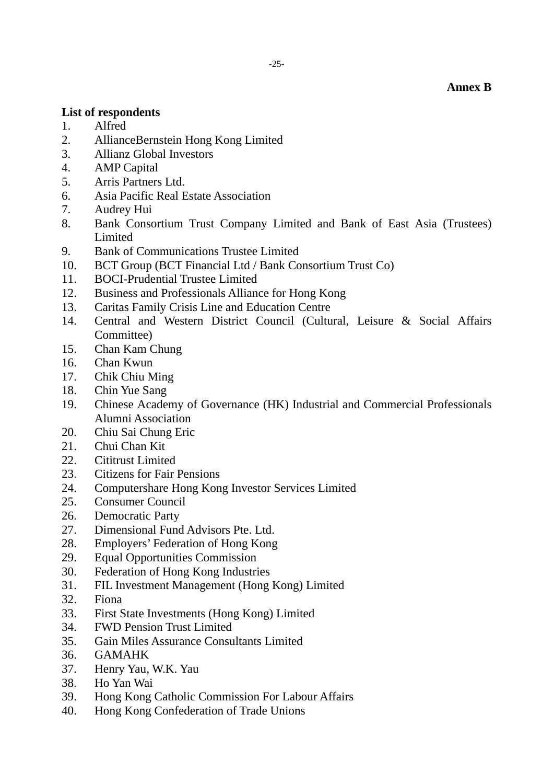#### **Annex B**

#### **List of respondents**

- 1. Alfred
- 2. AllianceBernstein Hong Kong Limited
- 3. Allianz Global Investors
- 4. AMP Capital
- 5. Arris Partners Ltd.
- 6. Asia Pacific Real Estate Association
- 7. Audrey Hui
- 8. Bank Consortium Trust Company Limited and Bank of East Asia (Trustees) Limited
- 9. Bank of Communications Trustee Limited
- 10. BCT Group (BCT Financial Ltd / Bank Consortium Trust Co)
- 11. BOCI-Prudential Trustee Limited
- 12. Business and Professionals Alliance for Hong Kong
- 13. Caritas Family Crisis Line and Education Centre
- 14. Central and Western District Council (Cultural, Leisure & Social Affairs Committee)
- 15. Chan Kam Chung
- 16. Chan Kwun
- 17. Chik Chiu Ming
- 18. Chin Yue Sang
- 19. Chinese Academy of Governance (HK) Industrial and Commercial Professionals Alumni Association
- 20. Chiu Sai Chung Eric
- 21. Chui Chan Kit
- 22. Cititrust Limited
- 23. Citizens for Fair Pensions
- 24. Computershare Hong Kong Investor Services Limited
- 25. Consumer Council
- 26. Democratic Party
- 27. Dimensional Fund Advisors Pte. Ltd.
- 28. Employers' Federation of Hong Kong
- 29. Equal Opportunities Commission
- 30. Federation of Hong Kong Industries
- 31. FIL Investment Management (Hong Kong) Limited
- 32. Fiona
- 33. First State Investments (Hong Kong) Limited
- 34. FWD Pension Trust Limited
- 35. Gain Miles Assurance Consultants Limited
- 36. GAMAHK
- 37. Henry Yau, W.K. Yau
- 38. Ho Yan Wai
- 39. Hong Kong Catholic Commission For Labour Affairs
- 40. Hong Kong Confederation of Trade Unions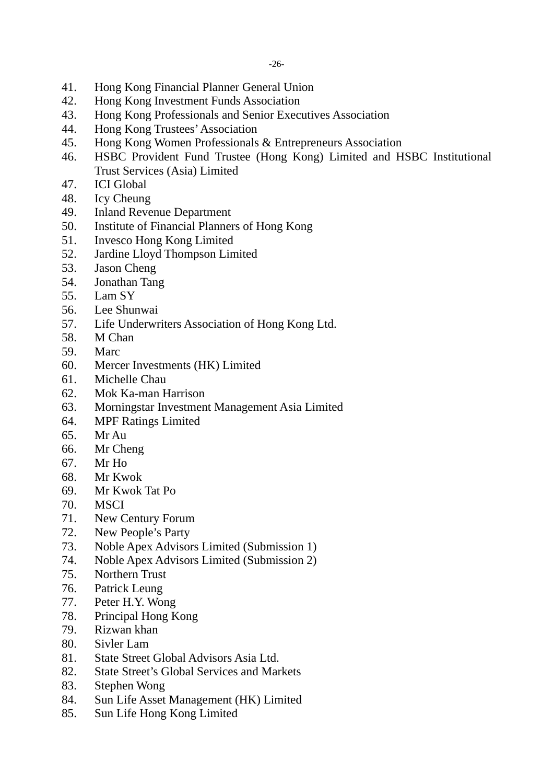- 41. Hong Kong Financial Planner General Union
- 42. Hong Kong Investment Funds Association
- 43. Hong Kong Professionals and Senior Executives Association
- 44. Hong Kong Trustees' Association
- 45. Hong Kong Women Professionals & Entrepreneurs Association
- 46. HSBC Provident Fund Trustee (Hong Kong) Limited and HSBC Institutional Trust Services (Asia) Limited
- 47. ICI Global
- 48. Icy Cheung
- 49. Inland Revenue Department
- 50. Institute of Financial Planners of Hong Kong
- 51. Invesco Hong Kong Limited
- 52. Jardine Lloyd Thompson Limited
- 53. Jason Cheng
- 54. Jonathan Tang
- 55. Lam SY
- 56. Lee Shunwai
- 57. Life Underwriters Association of Hong Kong Ltd.
- 58. M Chan
- 59. Marc
- 60. Mercer Investments (HK) Limited
- 61. Michelle Chau
- 62. Mok Ka-man Harrison
- 63. Morningstar Investment Management Asia Limited
- 64. MPF Ratings Limited
- 65. Mr Au
- 66. Mr Cheng
- 67. Mr Ho
- 68. Mr Kwok
- 69. Mr Kwok Tat Po
- 70. MSCI
- 71. New Century Forum
- 72. New People's Party
- 73. Noble Apex Advisors Limited (Submission 1)
- 74. Noble Apex Advisors Limited (Submission 2)
- 75. Northern Trust
- 76. Patrick Leung
- 77. Peter H.Y. Wong
- 78. Principal Hong Kong
- 79. Rizwan khan
- 80. Sivler Lam
- 81. State Street Global Advisors Asia Ltd.
- 82. State Street's Global Services and Markets
- 83. Stephen Wong
- 84. Sun Life Asset Management (HK) Limited
- 85. Sun Life Hong Kong Limited